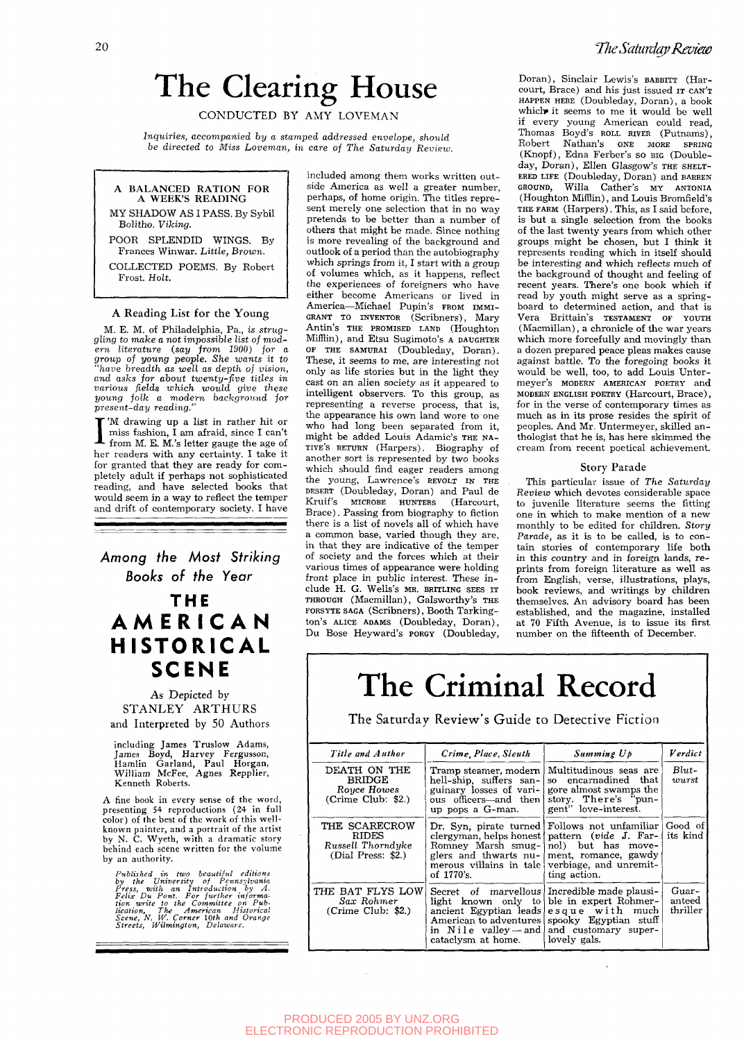# The Clearing House

CONDUCTED BY AMY LOVEMAN

*Inquiries, accompanied hy a stamped addressed envelope, should be directed to Miss Loveman, in care oj The Saturday Review.* 



#### A Reading List for the Young

M. E. M. of Philadelphia, Pa., *is struggling to make a not* impossible *list of modern literature (.say from 1900) for a group of young people. She wants it to "have breadth as well as depth of vision, and asks for about twenty-five titles in various fields which would give these young folk a modern background for present-day reading."* 

I 'M drawing up a list in rather hit or miss fashion, I am afraid, since I can't from M. E. M.'s letter gauge the age of her readers with any certainty. I take it for granted that they are ready for completely adult if perhaps not sophisticated reading, and have selected books that would seem in a way to reflect the temper and drift of contemporary society. I have

Among the Most Striking Books of the Year

### **THE AMERICA N HISTORICAL SCENE**

As Depicted by STANLEY ARTHURS and Interpreted by 50 Authors

including James Truslow Adams, James Boyd, Harvey Fergusson, Hamlin Garland, Paul Horgan, William McFee, Agnes Repplier, Kenneth Roberts.

A fine book in every sense of the word, presenting 54 reproductions (24 in full color) of the best of the work of this wellknown painter, and a portrait of the artist by N. C. Wyeth, with a dramatic story behind each scene written for the volume by an authority.

Published in two beautiful editions<br>by the University of Pennsylvania<br>Press, with an Introduction by A.<br>Felix Du Pont. For further on Pub-<br>ticon write to the Committee on Pub-<br>ication, The American Historical<br>Streets, Wilm

included among them works written outside America as well a greater number, perhaps, of home origin. The titles repre sent merely one selection that in no way pretends to be better than a number of others that might be made. Since nothing is more revealing of the background and outlook of a period than the autobiography which springs from it, I start with a group of volumes which, as it happens, reflect the experiences of foreigners who have either become Americans or lived in America—Michael Pupin's FROM IMMI-GRANT TO INVENTOR (Scribners), Mary Antin's THE PROMISED LAND (Houghton Mifflin), and Etsu Sugimoto's A DAUGHTER OF THE SAMURAI (Doubleday, Doran). These, it seems to me, are interesting not only as life stories but in the light they cast on an alien society as it appeared to intelligent observers. To this group, as menigent observers. To this group, as representing a reverse process, that is,<br>the appearance his own land were to one. the appearance his own land wore to one who had long been separated from it,<br>might be added Louis Adamic's THE NAmight be added Louis Adamic's The NA-<br>EUE's RETURN (Harpers). Biography of TIVE'S RETURN (Harpers). Biography of another sort is represented by two books<br>which should find eager readers among<br>the the young, Lawrence's REVOLT IN THE DESERT (Doubleday, Doran) and Paul de Kruif's MICROBE HUNTERS (Harcourt, Kruit's MICROBE HUNTERS (Harcourt, Brace). Passing from biography to fiction there is a list of novels all of which have a common base, varied though they are, in that they are indicative of the temper of society and the forces which at their various times of appearance were holding front place in public interest. These in-<br>clude H. G. Wells's MR. BRITLING SEES IT THROUGH (Macmillan), Galsworthy's THE FORSYTE SAGA (Scribners), Booth Tarkington's ALICE ADAMS (Doubleday, Doran), Du Bose Heyward's PORGY (Doubleday,

Doran), Sinclair Lewis's BABBITT (Harcourt, Brace) and his just issued IT CAN'T HAPPEN HERE (Doubleday, Doran), a book which it seems to me it would be well if every young American could read, Thomas Boyd's ROLL RIVER (Putnams), Robert Nathan's ONE MORE SPRING (Knopf), Edna Ferber's so BIG (Doubleday, Doran), Ellen Glasgow's THE SHELT-ERED LIFE (Doubleday, Doran) and BARREN GROUND, Willa Gather's MY ANTONIA (Houghton Mifflin), and Louis Bromfield's THE FARM (Harpers). This, as I said before, is but a single selection from the books of the last twenty years from which other groups might be chosen, but I think it represents reading which in itself should be interesting and which reflects much of the background of thought and feeling of recent years. There's one book which if read by youth might serve as a springboard to determined action, and that is Vera Brittain's TESTAMENT OF YOUTH (Macmillan), a chronicle of the war years which more forcefully and movingly than a dozen prepared peace pleas makes cause against battle. To the foregoing books it would be well, too, to add Louis Untermeyer's MODERN AMERICAN POETRY and MODERN ENGLISH POETRY (Harcourt, Brace), MODERN ENGLISH POETRY (Harcourt, Brace),<br>fan in the verse of contemporary times as for in the verse of contemporary times as much as in its prose resides the spirit of peoples. And Mr. Untermeyer, skilled anthologist that he is, has here skimmed the cream from recent poetical achievement.

#### Story Parade

This particular issue of *The Saturday Review* which devotes considerable space to juvenile literature seems the fitting one in which to make mention of a new monthly to be edited for children. *Story Parade,* as it is to be called, is to contain stories of contemporary life both in this country and in foreign lands, re prints from foreign literature as well as from English, verse, illustrations, plays, book reviews, and writings by children themselves. An advisory board has been established, and the magazine, installed at 70 Fifth Avenue, is to issue its first number on the fifteenth of December.

### The Criminal Record

The Saturday Review's Guide to Detective Fiction

| Title and Author                                                         | Crime, Place, Sleuth                                                                                                     | Summing Up                                                                                                                                                                                                                         | Verdict                     |
|--------------------------------------------------------------------------|--------------------------------------------------------------------------------------------------------------------------|------------------------------------------------------------------------------------------------------------------------------------------------------------------------------------------------------------------------------------|-----------------------------|
| DEATH ON THE<br><b>BRIDGE</b><br>Rouce Howes<br>(Crime Club: \$2.)       | Tramp steamer, modern<br>hell-ship, suffers san-<br>guinary losses of vari-<br>ous officers—and then<br>up pops a G-man. | Multitudinous seas are<br>so encarnadined that<br>gore almost swamps the<br>story. There's "pun-<br>gent" love-interest.                                                                                                           | $But-$<br>wurst             |
| THE SCARECROW<br><b>RIDES</b><br>Russell Thorndyke<br>(Dial Press: \$2.) | Romney Marsh smug-   nol but has<br>of 1770's.                                                                           | Dr. Syn, pirate turned Follows not unfamiliar Good of<br>clergyman, helps honest pattern (vide $J$ . Far-<br>move-<br>glers and thwarts nu- ment, romance, gawdy<br>merous villains in tale verbiage, and unremit-<br>ting action. | its kind                    |
| THE BAT FLYS LOW<br>Sax Rohmer<br>(Crime Club: \$2.)                     | Secret of marvellous<br>light known only to<br>ancient Egyptian leads<br>cataclysm at home.                              | Incredible made plausi-<br>ble in expert Rohmer-<br>esque with<br>much  <br>American to adventures spooky Egyptian stuff<br>in Nile valley — and and customary super-<br>lovely gals.                                              | Guar-<br>anteed<br>thriller |

#### PRODUCED 2005 BY UNZ.ORG ELECTRONIC REPRODUCTION PROHIBITED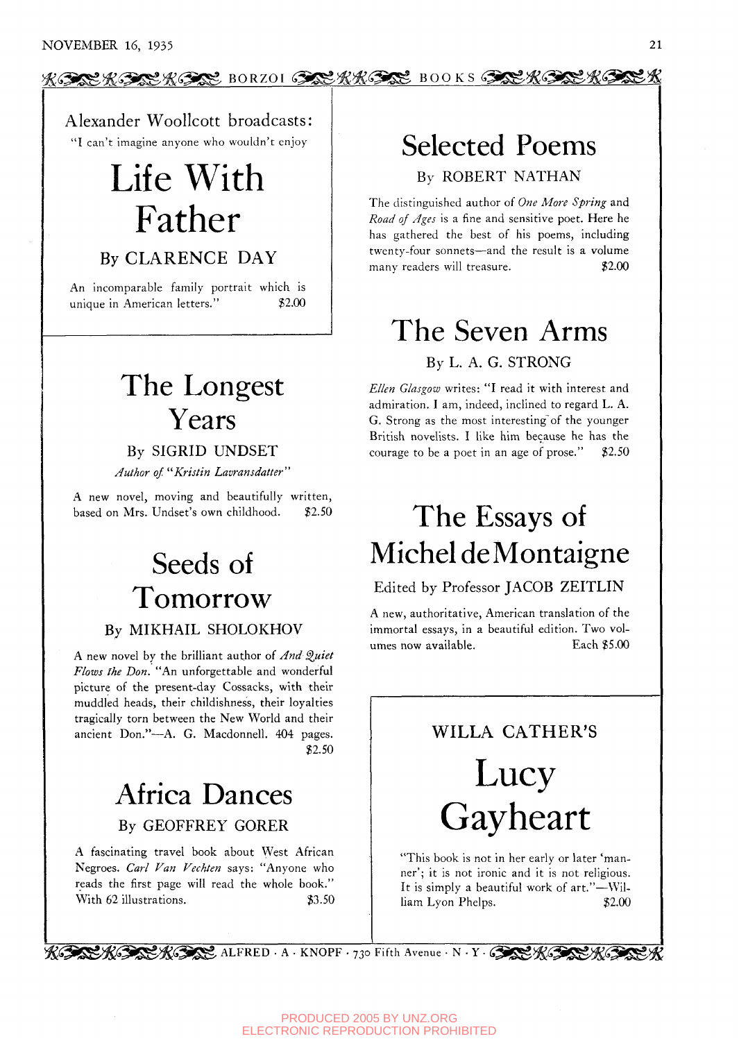#### $\underline{\mathcal{R}}$ <u>. A. Borzon (),  $\underline{\mathcal{R}}$  and  $K$  is  $\underline{\mathcal{R}}$  and  $K$  is  $\underline{\mathcal{R}}$ .</u>

Alexander Woollcott broadcasts: "I can't imagine anyone who wouldn't enjoy

# Life With Father

### By CLARENCE DAY

An incomparable family portrait which is unique in American letters." \$2.00

### The Longest Years

By SIGRID UNDSET

*Author of '^Kristin Lavransdatter"* 

A new novel, moving and beautifully written, based on Mrs. Undset's own childhood. \$2.50

## Seeds of Tomorrow

#### By MIKHAIL SHOLOKHOV

A new novel by the brilliant author of *And Quiet Flows The Don.* "An unforgettable and wonderful picture of the present-day Cossacks, with their muddled heads, their childishness, their loyalties tragically torn between the New World and their ancient Don."—A. G. Macdonnell. 404 pages. \$2.50

### Africa Dances By GEOFFREY GORER

A fascinating travel book about West African Negroes. *Carl Van Vechten* says: "Anyone who reads the first page will read the whole book." With 62 illustrations. \$3.50

# Selected Poems

By ROBERT NATHAN

The distinguished author of *One More Spring* and *Road of Ages* is a fine and sensitive poet. Here he has gathered the best of his poems, including twenty-four sonnets—and the result is a volume many readers will treasure. \$2.00

# The Seven Arms

By L. A. G. STRONG

*Ellen Glasgow* writes: "I read it with interest and admiration. I am, indeed, inclined to regard L. A. G. Strong as the most interesting of the younger British novelists. I like him because he has the courage to be a poet in an age of prose."  $$2.50$ 

## The Essays of Michel de Montaigne

#### Edited by Professor JACOB ZEITLIN

A new, authoritative, American translation of the immortal essays, in a beautiful edition. Two volumes now available. Each \$5.00

WILLA CATHER'S

# Lucy Gayheart

"This book is not in her early or later 'manner'; it is not ironic and it is not religious. It is simply a beautiful work of art."—William Lyon Phelps.  $$2.00$ 

 $\mathcal{R}$  (Since ALFRED  $\cdot$  A  $\cdot$  KNOPF  $\cdot$  730 Fifth Avenue  $\cdot$  N  $\cdot$  Y  $\cdot$  (Since  $\mathcal{R}$  (Since